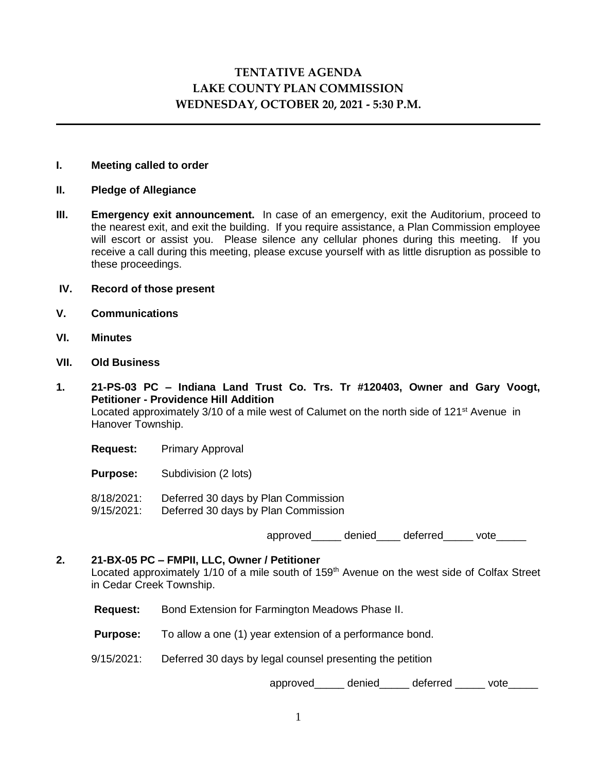# **TENTATIVE AGENDA LAKE COUNTY PLAN COMMISSION WEDNESDAY, OCTOBER 20, 2021 - 5:30 P.M.**

## **I. Meeting called to order**

- **II. Pledge of Allegiance**
- **III. Emergency exit announcement.** In case of an emergency, exit the Auditorium, proceed to the nearest exit, and exit the building. If you require assistance, a Plan Commission employee will escort or assist you. Please silence any cellular phones during this meeting. If you receive a call during this meeting, please excuse yourself with as little disruption as possible to these proceedings.

## **IV. Record of those present**

- **V. Communications**
- **VI. Minutes**
- **VII. Old Business**
- **1. 21-PS-03 PC – Indiana Land Trust Co. Trs. Tr #120403, Owner and Gary Voogt, Petitioner - Providence Hill Addition**  Located approximately 3/10 of a mile west of Calumet on the north side of 121<sup>st</sup> Avenue in Hanover Township.
	- **Request:** Primary Approval

**Purpose:** Subdivision (2 lots)

- 8/18/2021: Deferred 30 days by Plan Commission
- 9/15/2021: Deferred 30 days by Plan Commission

approved denied deferred vote

#### **2. 21-BX-05 PC – FMPII, LLC, Owner / Petitioner**

Located approximately 1/10 of a mile south of 159<sup>th</sup> Avenue on the west side of Colfax Street in Cedar Creek Township.

- **Request:** Bond Extension for Farmington Meadows Phase II.
- **Purpose:** To allow a one (1) year extension of a performance bond.
- 9/15/2021: Deferred 30 days by legal counsel presenting the petition

approved\_\_\_\_\_ denied\_\_\_\_\_ deferred \_\_\_\_\_ vote\_\_\_\_\_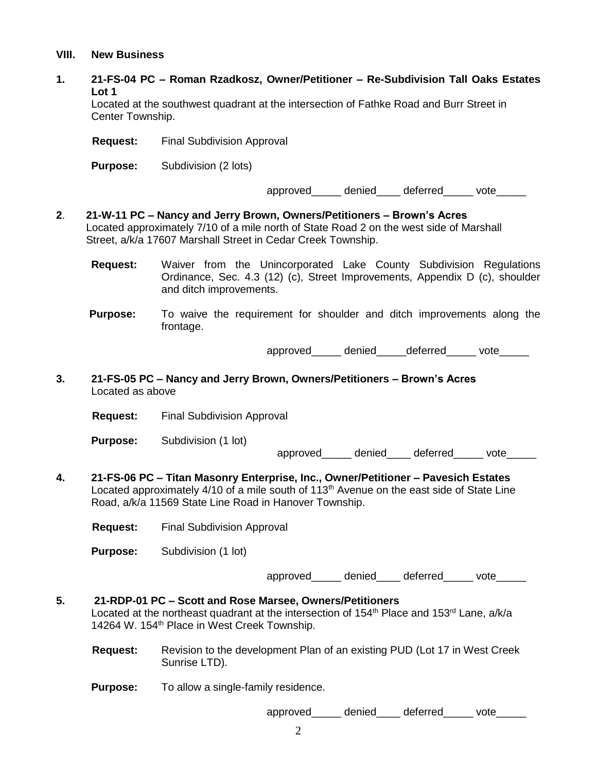#### **VIII. New Business**

**1. 21-FS-04 PC – Roman Rzadkosz, Owner/Petitioner – Re-Subdivision Tall Oaks Estates Lot 1**

Located at the southwest quadrant at the intersection of Fathke Road and Burr Street in Center Township.

**Request:** Final Subdivision Approval

**Purpose:** Subdivision (2 lots)

approved\_\_\_\_\_ denied\_\_\_\_ deferred\_\_\_\_\_ vote\_\_\_\_\_

- **2**. **21-W-11 PC – Nancy and Jerry Brown, Owners/Petitioners – Brown's Acres**  Located approximately 7/10 of a mile north of State Road 2 on the west side of Marshall Street, a/k/a 17607 Marshall Street in Cedar Creek Township.
	- **Request:** Waiver from the Unincorporated Lake County Subdivision Regulations Ordinance, Sec. 4.3 (12) (c), Street Improvements, Appendix D (c), shoulder and ditch improvements.
	- **Purpose:** To waive the requirement for shoulder and ditch improvements along the frontage.

approved denied deferred vote

**3. 21-FS-05 PC – Nancy and Jerry Brown, Owners/Petitioners – Brown's Acres** Located as above

**Request:** Final Subdivision Approval

**Purpose:** Subdivision (1 lot)

approved denied deferred vote

**4. 21-FS-06 PC – Titan Masonry Enterprise, Inc., Owner/Petitioner – Pavesich Estates** Located approximately  $4/10$  of a mile south of  $113<sup>th</sup>$  Avenue on the east side of State Line Road, a/k/a 11569 State Line Road in Hanover Township.

**Request:** Final Subdivision Approval

**Purpose:** Subdivision (1 lot)

approved denied deferred vote

# **5. 21-RDP-01 PC – Scott and Rose Marsee, Owners/Petitioners** Located at the northeast quadrant at the intersection of 154<sup>th</sup> Place and 153<sup>rd</sup> Lane, a/k/a 14264 W. 154<sup>th</sup> Place in West Creek Township.

- **Request:** Revision to the development Plan of an existing PUD (Lot 17 in West Creek Sunrise LTD).
- **Purpose:** To allow a single-family residence.

approved denied deferred vote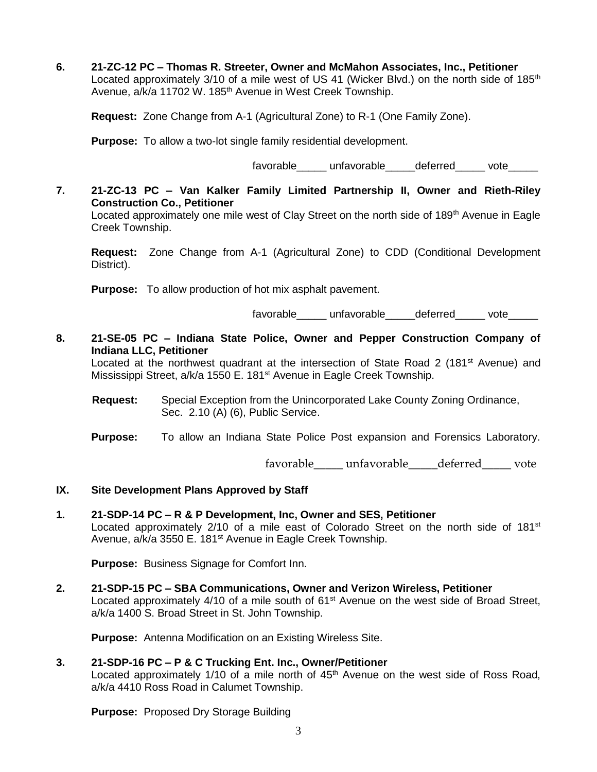**6. 21-ZC-12 PC – Thomas R. Streeter, Owner and McMahon Associates, Inc., Petitioner** Located approximately  $3/10$  of a mile west of US 41 (Wicker Blvd.) on the north side of  $185<sup>th</sup>$ Avenue, a/k/a 11702 W. 185<sup>th</sup> Avenue in West Creek Township.

**Request:** Zone Change from A-1 (Agricultural Zone) to R-1 (One Family Zone).

**Purpose:** To allow a two-lot single family residential development.

favorable unfavorable deferred vote

**7. 21-ZC-13 PC – Van Kalker Family Limited Partnership II, Owner and Rieth-Riley Construction Co., Petitioner** Located approximately one mile west of Clay Street on the north side of 189<sup>th</sup> Avenue in Eagle Creek Township.

**Request:** Zone Change from A-1 (Agricultural Zone) to CDD (Conditional Development District).

**Purpose:** To allow production of hot mix asphalt pavement.

favorable\_\_\_\_\_\_ unfavorable\_\_\_\_\_deferred\_\_\_\_\_ vote\_\_\_\_\_

**8. 21-SE-05 PC – Indiana State Police, Owner and Pepper Construction Company of Indiana LLC, Petitioner**

Located at the northwest quadrant at the intersection of State Road 2 (181<sup>st</sup> Avenue) and Mississippi Street, a/k/a 1550 E. 181<sup>st</sup> Avenue in Eagle Creek Township.

- **Request:** Special Exception from the Unincorporated Lake County Zoning Ordinance, Sec. 2.10 (A) (6), Public Service.
- **Purpose:** To allow an Indiana State Police Post expansion and Forensics Laboratory.

favorable unfavorable deferred vote

- **IX. Site Development Plans Approved by Staff**
- **1. 21-SDP-14 PC – R & P Development, Inc, Owner and SES, Petitioner** Located approximately  $2/10$  of a mile east of Colorado Street on the north side of 181<sup>st</sup> Avenue, a/k/a 3550 E. 181<sup>st</sup> Avenue in Eagle Creek Township.

**Purpose:** Business Signage for Comfort Inn.

**2. 21-SDP-15 PC – SBA Communications, Owner and Verizon Wireless, Petitioner** Located approximately 4/10 of a mile south of 61<sup>st</sup> Avenue on the west side of Broad Street, a/k/a 1400 S. Broad Street in St. John Township.

**Purpose:** Antenna Modification on an Existing Wireless Site.

## **3. 21-SDP-16 PC – P & C Trucking Ent. Inc., Owner/Petitioner**

Located approximately 1/10 of a mile north of 45<sup>th</sup> Avenue on the west side of Ross Road, a/k/a 4410 Ross Road in Calumet Township.

**Purpose:** Proposed Dry Storage Building